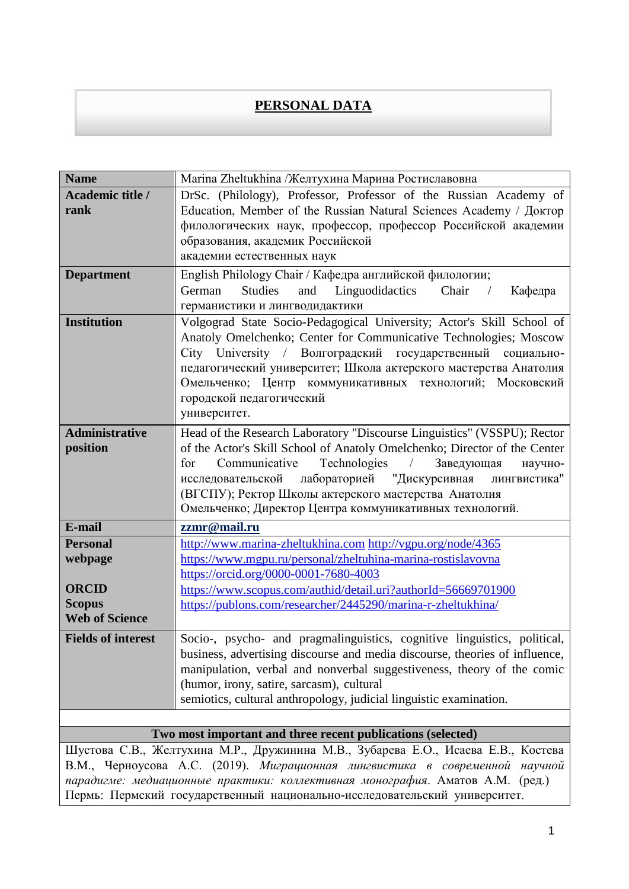## **PERSONAL DATA**

| <b>Name</b>                            | Marina Zheltukhina /Желтухина Марина Ростиславовна                                                                                                                |
|----------------------------------------|-------------------------------------------------------------------------------------------------------------------------------------------------------------------|
| Academic title /                       | DrSc. (Philology), Professor, Professor of the Russian Academy of                                                                                                 |
| rank                                   | Education, Member of the Russian Natural Sciences Academy / Доктор                                                                                                |
|                                        | филологических наук, профессор, профессор Российской академии                                                                                                     |
|                                        | образования, академик Российской                                                                                                                                  |
|                                        | академии естественных наук                                                                                                                                        |
| <b>Department</b>                      | English Philology Chair / Кафедра английской филологии;                                                                                                           |
|                                        | <b>Studies</b><br>German<br>and<br>Linguodidactics<br>Chair<br>Кафедра<br>$\sqrt{2}$                                                                              |
|                                        | германистики и лингводидактики                                                                                                                                    |
| <b>Institution</b>                     | Volgograd State Socio-Pedagogical University; Actor's Skill School of                                                                                             |
|                                        | Anatoly Omelchenko; Center for Communicative Technologies; Moscow<br>City University / Волгоградский государственный социально-                                   |
|                                        | педагогический университет; Школа актерского мастерства Анатолия                                                                                                  |
|                                        | Омельченко; Центр коммуникативных технологий; Московский                                                                                                          |
|                                        | городской педагогический                                                                                                                                          |
|                                        | университет.                                                                                                                                                      |
| <b>Administrative</b>                  | Head of the Research Laboratory "Discourse Linguistics" (VSSPU); Rector                                                                                           |
| position                               | of the Actor's Skill School of Anatoly Omelchenko; Director of the Center                                                                                         |
|                                        | Technologies<br>for<br>Communicative<br>Заведующая<br>$\sqrt{2}$<br>научно-                                                                                       |
|                                        | лабораторией "Дискурсивная<br>лингвистика"<br>исследовательской                                                                                                   |
|                                        | (ВГСПУ); Ректор Школы актерского мастерства Анатолия                                                                                                              |
|                                        | Омельченко; Директор Центра коммуникативных технологий.                                                                                                           |
| E-mail                                 | zzmr@mail.ru                                                                                                                                                      |
|                                        |                                                                                                                                                                   |
| <b>Personal</b>                        | http://www.marina-zheltukhina.com http://vgpu.org/node/4365                                                                                                       |
| webpage                                | https://www.mgpu.ru/personal/zheltuhina-marina-rostislavovna                                                                                                      |
|                                        | https://orcid.org/0000-0001-7680-4003                                                                                                                             |
| <b>ORCID</b>                           | https://www.scopus.com/authid/detail.uri?authorId=56669701900                                                                                                     |
| <b>Scopus</b><br><b>Web of Science</b> | https://publons.com/researcher/2445290/marina-r-zheltukhina/                                                                                                      |
|                                        |                                                                                                                                                                   |
| <b>Fields of interest</b>              | Socio-, psycho- and pragmalinguistics, cognitive linguistics, political,<br>business, advertising discourse and media discourse, theories of influence,           |
|                                        | manipulation, verbal and nonverbal suggestiveness, theory of the comic                                                                                            |
|                                        | (humor, irony, satire, sarcasm), cultural                                                                                                                         |
|                                        | semiotics, cultural anthropology, judicial linguistic examination.                                                                                                |
|                                        |                                                                                                                                                                   |
|                                        | Two most important and three recent publications (selected)                                                                                                       |
|                                        | Шустова С.В., Желтухина М.Р., Дружинина М.В., Зубарева Е.О., Исаева Е.В., Костева<br>В.М., Черноусова А.С. (2019). Миграционная лингвистика в современной научной |

*парадигме: медиационные практики: коллективная монография*. Аматов А.М. (ред.) Пермь: Пермский государственный национально-исследовательский университет.